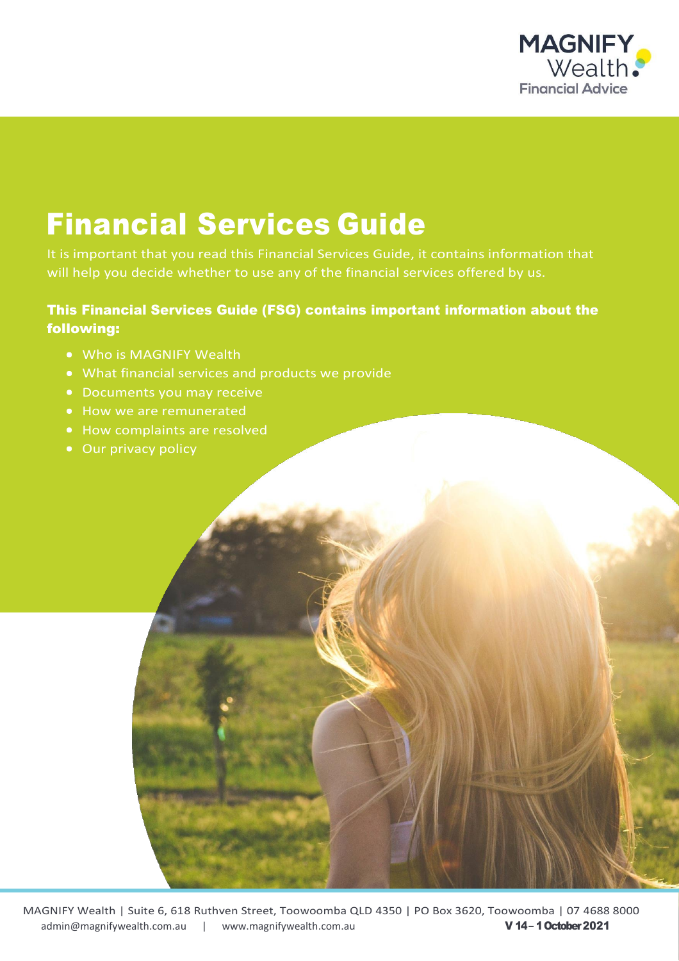

# Financial Services Guide

It is important that you read this Financial Services Guide, it contains information that will help you decide whether to use any of the financial services offered by us.

### This Financial Services Guide (FSG) contains important information about the following:

- Who is MAGNIFY Wealth
- What financial services and products we provide
- Documents you may receive
- How we are remunerated
- How complaints are resolved
- Our privacy policy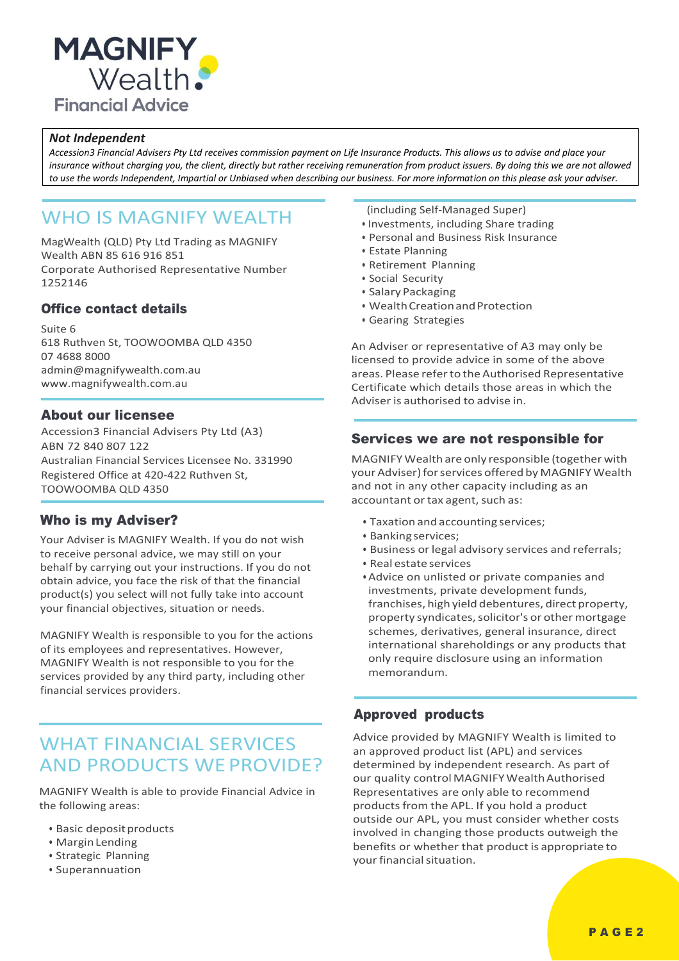

#### *Not Independent*

*Accession3 Financial Advisers Pty Ltd receives commission payment on Life Insurance Products. This allows us to advise and place your insurance without charging you, the client, directly but rather receiving remuneration from product issuers. By doing this we are not allowed to use the words Independent, Impartial or Unbiased when describing our business. For more information on this please ask your adviser.*

# WHO IS MAGNIFY WEALTH

MagWealth (QLD) Pty Ltd Trading as MAGNIFY Wealth ABN 85 616 916 851 Corporate Authorised Representative Number 1252146

#### Office contact details

Suite 6 618 Ruthven St, TOOWOOMBA QLD 4350 07 4688 8000 [admin@magnifywealth.com.au](mailto:admin@magnifywealth.com.au) [www.magnifywealth.com.au](http://www.magnifywealth.com.au/)

#### About our licensee

Accession3 Financial Advisers Pty Ltd (A3) ABN 72 840 807 122 Australian Financial Services Licensee No. 331990 Registered Office at 420-422 Ruthven St, TOOWOOMBA QLD 4350

#### Who is my Adviser?

Your Adviser is MAGNIFY Wealth. If you do not wish to receive personal advice, we may still on your behalf by carrying out your instructions. If you do not obtain advice, you face the risk of that the financial product(s) you select will not fully take into account your financial objectives, situation or needs.

MAGNIFY Wealth is responsible to you for the actions of its employees and representatives. However, MAGNIFY Wealth is not responsible to you for the services provided by any third party, including other financial services providers.

# WHAT FINANCIAL SERVICES AND PRODUCTS WEPROVIDE?

MAGNIFY Wealth is able to provide Financial Advice in the following areas:

- Basic deposit products
- MarginLending
- Strategic Planning
- Superannuation

(including Self-Managed Super)

- Investments, including Share trading
- Personal and Business Risk Insurance
- Estate Planning
- Retirement Planning
- Social Security
- Salary Packaging
- Wealth Creation and Protection
- Gearing Strategies

An Adviser or representative of A3 may only be licensed to provide advice in some of the above areas. Please referto the Authorised Representative Certificate which details those areas in which the Adviser is authorised to advise in.

#### Services we are not responsible for

MAGNIFYWealth are only responsible (together with your Adviser) for services offered by MAGNIFY Wealth and not in any other capacity including as an accountant or tax agent, such as:

- Taxation and accounting services;
- Bankingservices;
- Business or legal advisory services and referrals;
- Real estate services
- Advice on unlisted or private companies and investments, private development funds, franchises, high yield debentures, direct property, property syndicates, solicitor's or other mortgage schemes, derivatives, general insurance, direct international shareholdings or any products that only require disclosure using an information memorandum.

#### Approved products

Advice provided by MAGNIFY Wealth is limited to an approved product list (APL) and services determined by independent research. As part of our quality control MAGNIFY Wealth Authorised Representatives are only able to recommend products from the APL. If you hold a product outside our APL, you must consider whether costs involved in changing those products outweigh the benefits or whether that product is appropriate to your financial situation.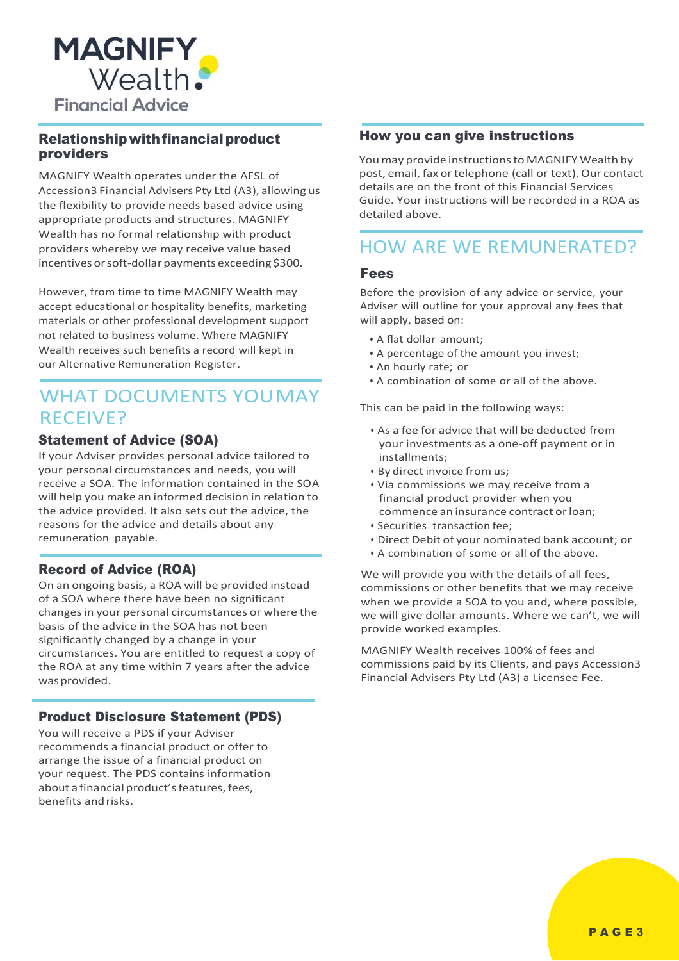

#### Relationship with financial product providers

MAGNIFY Wealth operates under the AFSL of Accession3 Financial Advisers Pty Ltd (A3), allowing us the flexibility to provide needs based advice using appropriate products and structures. MAGNIFY Wealth has no formal relationship with product providers whereby we may receive value based incentives or soft-dollar payments exceeding \$300.

However, from time to time MAGNIFY Wealth may accept educational or hospitality benefits, marketing materials or other professional development support not related to business volume. Where MAGNIFY Wealth receives such benefits a record will kept in our Alternative Remuneration Register.

# WHAT DOCUMENTS YOUMAY RECEIVE?

#### Statement of Advice (SOA)

If your Adviser provides personal advice tailored to your personal circumstances and needs, you will receive a SOA. The information contained in the SOA will help you make an informed decision in relation to the advice provided. It also sets out the advice, the reasons for the advice and details about any remuneration payable.

#### Record of Advice (ROA)

On an ongoing basis, a ROA will be provided instead of a SOA where there have been no significant changes in your personal circumstances or where the basis of the advice in the SOA has not been significantly changed by a change in your circumstances. You are entitled to request a copy of the ROA at any time within 7 years after the advice wasprovided.

#### Product Disclosure Statement (PDS)

You will receive a PDS if your Adviser recommends a financial product or offer to arrange the issue of a financial product on your request. The PDS contains information about a financial product's features, fees, benefits and risks.

#### How you can give instructions

You may provide instructionsto MAGNIFY Wealth by post, email, fax or telephone (call or text). Our contact details are on the front of this Financial Services Guide. Your instructions will be recorded in a ROA as detailed above.

## HOW ARE WE REMUNERATED?

#### Fees

Before the provision of any advice or service, your Adviser will outline for your approval any fees that will apply, based on:

- A flat dollar amount;
- A percentage of the amount you invest;
- An hourly rate; or
- A combination of some or all of the above.

This can be paid in the following ways:

- As a fee for advice that will be deducted from your investments as a one-off payment or in installments;
- By direct invoice from us:
- Via commissions we may receive from a financial product provider when you commence an insurance contract or loan;
- Securities transaction fee;
- Direct Debit of your nominated bank account; or
- A combination of some or all of the above.

We will provide you with the details of all fees, commissions or other benefits that we may receive when we provide a SOA to you and, where possible, we will give dollar amounts. Where we can't, we will provide worked examples.

MAGNIFY Wealth receives 100% of fees and commissions paid by its Clients, and pays Accession3 Financial Advisers Pty Ltd (A3) a Licensee Fee.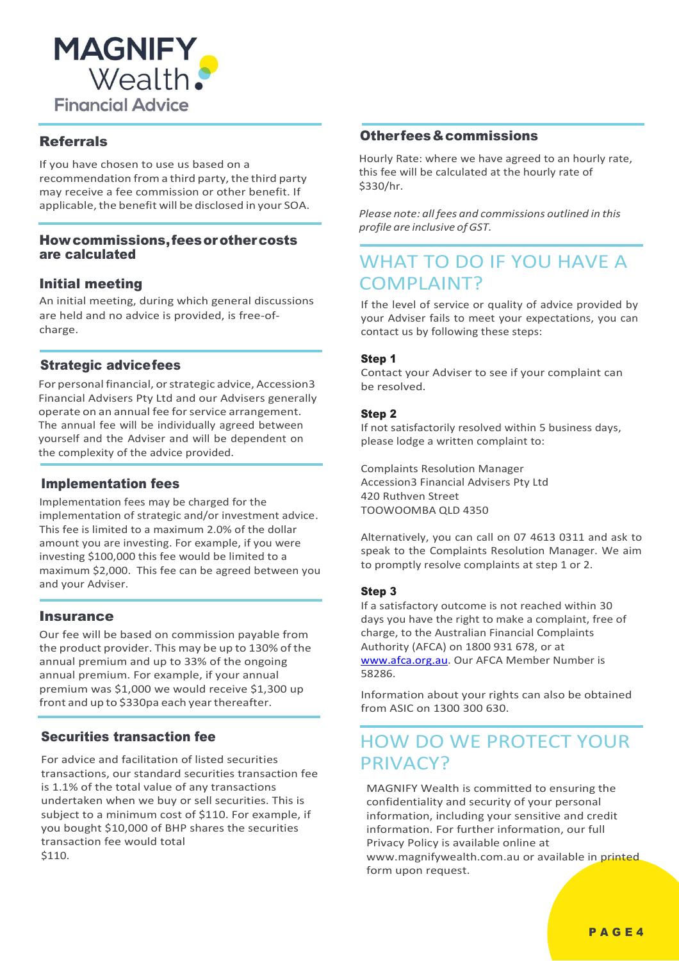

#### Referrals

If you have chosen to use us based on a recommendation froma third party, the third party may receive a fee commission or other benefit. If applicable, the benefit will be disclosed in your SOA.

#### Howcommissions,feesorothercosts are calculated

#### Initial meeting

An initial meeting, during which general discussions are held and no advice is provided, is free-ofcharge.

#### Strategic advicefees

For personal financial, or strategic advice, Accession3 Financial Advisers Pty Ltd and our Advisers generally operate on an annual fee for service arrangement. The annual fee will be individually agreed between yourself and the Adviser and will be dependent on the complexity of the advice provided.

#### Implementation fees

Implementation fees may be charged for the implementation of strategic and/or investment advice. This fee is limited to a maximum 2.0% of the dollar amount you are investing. For example, if you were investing \$100,000 this fee would be limited to a maximum \$2,000. This fee can be agreed between you and your Adviser.

#### **Insurance**

Our fee will be based on commission payable from the product provider. This may be up to 130% of the annual premium and up to 33% of the ongoing annual premium. For example, if your annual premium was \$1,000 we would receive \$1,300 up front and up to \$330pa each year thereafter.

#### Securities transaction fee

For advice and facilitation of listed securities transactions, our standard securities transaction fee is 1.1% of the total value of any transactions undertaken when we buy or sell securities. This is subject to a minimum cost of \$110. For example, if you bought \$10,000 of BHP shares the securities transaction fee would total \$110.

#### Otherfees&commissions

Hourly Rate: where we have agreed to an hourly rate, this fee will be calculated at the hourly rate of \$330/hr.

*Please note: all fees and commissions outlined in this profile are inclusive ofGST.*

# WHAT TO DO IF YOU HAVE A COMPLAINT?

If the level of service or quality of advice provided by your Adviser fails to meet your expectations, you can contact us by following these steps:

#### Step 1

Contact your Adviser to see if your complaint can be resolved.

#### Step 2

If not satisfactorily resolved within 5 business days, please lodge a written complaint to:

Complaints Resolution Manager Accession3 Financial Advisers Pty Ltd 420 Ruthven Street TOOWOOMBA QLD 4350

Alternatively, you can call on 07 4613 0311 and ask to speak to the Complaints Resolution Manager. We aim to promptly resolve complaints at step 1 or 2.

#### Step 3

If a satisfactory outcome is not reached within 30 days you have the right to make a complaint, free of charge, to the Australian Financial Complaints Authority (AFCA) on 1800 931 678, or at [www.afca.org.au.](http://www.afca.org.au/) Our AFCA Member Number is 58286.

Information about your rights can also be obtained from ASIC on 1300 300 630.

# HOW DO WE PROTECT YOUR PRIVACY?

MAGNIFY Wealth is committed to ensuring the confidentiality and security of your personal information, including your sensitive and credit information. For further information, our full Privacy Policy is available online at www.magnifywealth.com.au or available in printed form upon request.